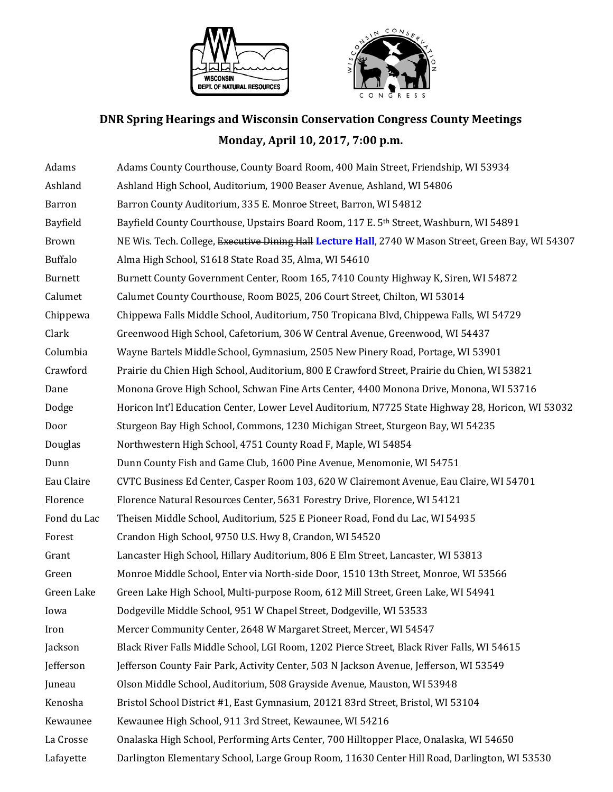



## **DNR Spring Hearings and Wisconsin Conservation Congress County Meetings Monday, April 10, 2017, 7:00 p.m.**

| Adams          | Adams County Courthouse, County Board Room, 400 Main Street, Friendship, WI 53934                   |
|----------------|-----------------------------------------------------------------------------------------------------|
| Ashland        | Ashland High School, Auditorium, 1900 Beaser Avenue, Ashland, WI 54806                              |
| Barron         | Barron County Auditorium, 335 E. Monroe Street, Barron, WI 54812                                    |
| Bayfield       | Bayfield County Courthouse, Upstairs Board Room, 117 E. 5th Street, Washburn, WI 54891              |
| <b>Brown</b>   | NE Wis. Tech. College, Executive Dining Hall Lecture Hall, 2740 W Mason Street, Green Bay, WI 54307 |
| <b>Buffalo</b> | Alma High School, S1618 State Road 35, Alma, WI 54610                                               |
| <b>Burnett</b> | Burnett County Government Center, Room 165, 7410 County Highway K, Siren, WI 54872                  |
| Calumet        | Calumet County Courthouse, Room B025, 206 Court Street, Chilton, WI 53014                           |
| Chippewa       | Chippewa Falls Middle School, Auditorium, 750 Tropicana Blvd, Chippewa Falls, WI 54729              |
| Clark          | Greenwood High School, Cafetorium, 306 W Central Avenue, Greenwood, WI 54437                        |
| Columbia       | Wayne Bartels Middle School, Gymnasium, 2505 New Pinery Road, Portage, WI 53901                     |
| Crawford       | Prairie du Chien High School, Auditorium, 800 E Crawford Street, Prairie du Chien, WI 53821         |
| Dane           | Monona Grove High School, Schwan Fine Arts Center, 4400 Monona Drive, Monona, WI 53716              |
| Dodge          | Horicon Int'l Education Center, Lower Level Auditorium, N7725 State Highway 28, Horicon, WI 53032   |
| Door           | Sturgeon Bay High School, Commons, 1230 Michigan Street, Sturgeon Bay, WI 54235                     |
| Douglas        | Northwestern High School, 4751 County Road F, Maple, WI 54854                                       |
| Dunn           | Dunn County Fish and Game Club, 1600 Pine Avenue, Menomonie, WI 54751                               |
| Eau Claire     | CVTC Business Ed Center, Casper Room 103, 620 W Clairemont Avenue, Eau Claire, WI 54701             |
| Florence       | Florence Natural Resources Center, 5631 Forestry Drive, Florence, WI 54121                          |
| Fond du Lac    | Theisen Middle School, Auditorium, 525 E Pioneer Road, Fond du Lac, WI 54935                        |
| Forest         | Crandon High School, 9750 U.S. Hwy 8, Crandon, WI 54520                                             |
| Grant          | Lancaster High School, Hillary Auditorium, 806 E Elm Street, Lancaster, WI 53813                    |
| Green          | Monroe Middle School, Enter via North-side Door, 1510 13th Street, Monroe, WI 53566                 |
| Green Lake     | Green Lake High School, Multi-purpose Room, 612 Mill Street, Green Lake, WI 54941                   |
| Iowa           | Dodgeville Middle School, 951 W Chapel Street, Dodgeville, WI 53533                                 |
| Iron           | Mercer Community Center, 2648 W Margaret Street, Mercer, WI 54547                                   |
| Jackson        | Black River Falls Middle School, LGI Room, 1202 Pierce Street, Black River Falls, WI 54615          |
| Jefferson      | Jefferson County Fair Park, Activity Center, 503 N Jackson Avenue, Jefferson, WI 53549              |
| Juneau         | Olson Middle School, Auditorium, 508 Grayside Avenue, Mauston, WI 53948                             |
| Kenosha        | Bristol School District #1, East Gymnasium, 20121 83rd Street, Bristol, WI 53104                    |
| Kewaunee       | Kewaunee High School, 911 3rd Street, Kewaunee, WI 54216                                            |
| La Crosse      | Onalaska High School, Performing Arts Center, 700 Hilltopper Place, Onalaska, WI 54650              |
| Lafayette      | Darlington Elementary School, Large Group Room, 11630 Center Hill Road, Darlington, WI 53530        |